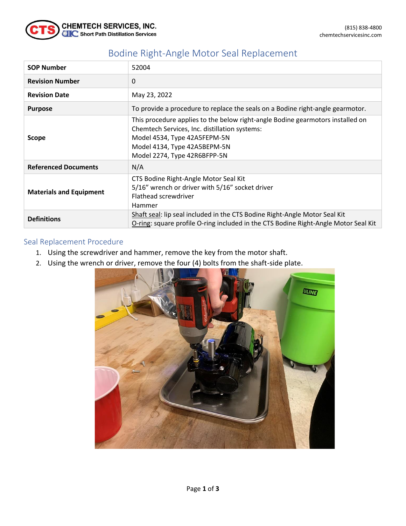

## Bodine Right-Angle Motor Seal Replacement

| <b>SOP Number</b>              | 52004                                                                                                                                                                                                                           |  |
|--------------------------------|---------------------------------------------------------------------------------------------------------------------------------------------------------------------------------------------------------------------------------|--|
| <b>Revision Number</b>         | 0                                                                                                                                                                                                                               |  |
| <b>Revision Date</b>           | May 23, 2022                                                                                                                                                                                                                    |  |
| <b>Purpose</b>                 | To provide a procedure to replace the seals on a Bodine right-angle gearmotor.                                                                                                                                                  |  |
| <b>Scope</b>                   | This procedure applies to the below right-angle Bodine gearmotors installed on<br>Chemtech Services, Inc. distillation systems:<br>Model 4534, Type 42A5FEPM-5N<br>Model 4134, Type 42A5BEPM-5N<br>Model 2274, Type 42R6BFPP-5N |  |
| <b>Referenced Documents</b>    | N/A                                                                                                                                                                                                                             |  |
| <b>Materials and Equipment</b> | CTS Bodine Right-Angle Motor Seal Kit<br>5/16" wrench or driver with 5/16" socket driver<br>Flathead screwdriver<br>Hammer                                                                                                      |  |
| <b>Definitions</b>             | Shaft seal: lip seal included in the CTS Bodine Right-Angle Motor Seal Kit<br>O-ring: square profile O-ring included in the CTS Bodine Right-Angle Motor Seal Kit                                                               |  |

## Seal Replacement Procedure

- 1. Using the screwdriver and hammer, remove the key from the motor shaft.
- 2. Using the wrench or driver, remove the four (4) bolts from the shaft-side plate.

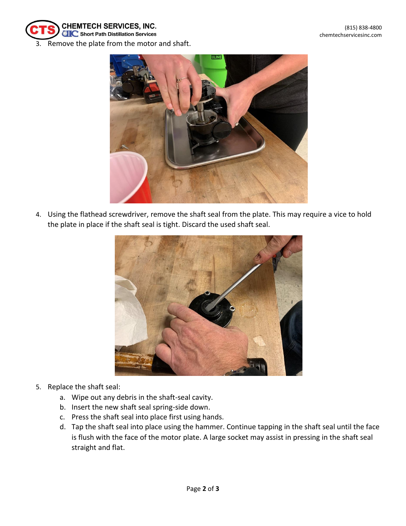

3. Remove the plate from the motor and shaft.



4. Using the flathead screwdriver, remove the shaft seal from the plate. This may require a vice to hold the plate in place if the shaft seal is tight. Discard the used shaft seal.



- 5. Replace the shaft seal:
	- a. Wipe out any debris in the shaft-seal cavity.
	- b. Insert the new shaft seal spring-side down.
	- c. Press the shaft seal into place first using hands.
	- d. Tap the shaft seal into place using the hammer. Continue tapping in the shaft seal until the face is flush with the face of the motor plate. A large socket may assist in pressing in the shaft seal straight and flat.